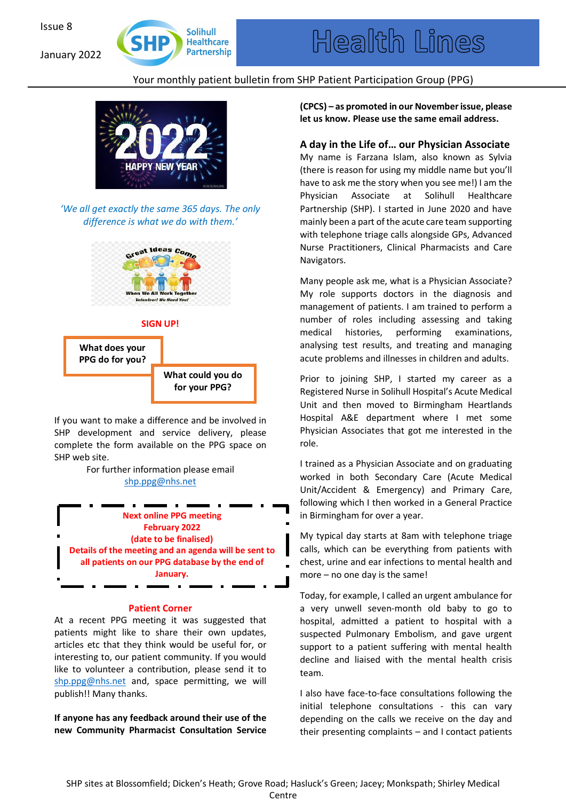January 2022



# Your monthly patient bulletin from SHP Patient Participation Group (PPG)



*'We all get exactly the same 365 days. The only difference is what we do with them.'*



### **SIGN UP!**



If you want to make a difference and be involved in SHP development and service delivery, please complete the form available on the PPG space on SHP web site.

> For further information please email shp.ppg@nhs.net

**Next online PPG meeting February 2022 (date to be finalised) Details of the meeting and an agenda will be sent to all patients on our PPG database by the end of January.**

#### **Patient Corner**

At a recent PPG meeting it was suggested that patients might like to share their own updates, articles etc that they think would be useful for, or interesting to, our patient community. If you would like to volunteer a contribution, please send it to shp.ppg@nhs.net and, space permitting, we will publish!! Many thanks.

**If anyone has any feedback around their use of the new Community Pharmacist Consultation Service** **(CPCS) – as promoted in our November issue, please let us know. Please use the same email address.** 

## **A day in the Life of… our Physician Associate**

My name is Farzana Islam, also known as Sylvia (there is reason for using my middle name but you'll have to ask me the story when you see me!) I am the Physician Associate at Solihull Healthcare Partnership (SHP). I started in June 2020 and have mainly been a part of the acute care team supporting with telephone triage calls alongside GPs, Advanced Nurse Practitioners, Clinical Pharmacists and Care Navigators.

Many people ask me, what is a Physician Associate? My role supports doctors in the diagnosis and management of patients. I am trained to perform a number of roles including assessing and taking medical histories, performing examinations, analysing test results, and treating and managing acute problems and illnesses in children and adults.

Prior to joining SHP, I started my career as a Registered Nurse in Solihull Hospital's Acute Medical Unit and then moved to Birmingham Heartlands Hospital A&E department where I met some Physician Associates that got me interested in the role.

I trained as a Physician Associate and on graduating worked in both Secondary Care (Acute Medical Unit/Accident & Emergency) and Primary Care, following which I then worked in a General Practice in Birmingham for over a year.

My typical day starts at 8am with telephone triage calls, which can be everything from patients with chest, urine and ear infections to mental health and more – no one day is the same!

Today, for example, I called an urgent ambulance for a very unwell seven-month old baby to go to hospital, admitted a patient to hospital with a suspected Pulmonary Embolism, and gave urgent support to a patient suffering with mental health decline and liaised with the mental health crisis team.

I also have face-to-face consultations following the initial telephone consultations - this can vary depending on the calls we receive on the day and their presenting complaints – and I contact patients